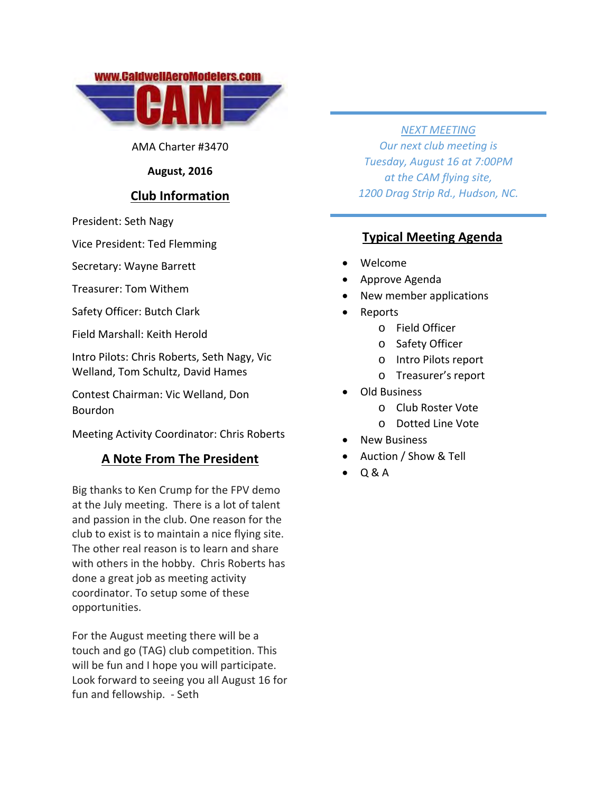

AMA Charter #3470

#### **August, 2016**

# **Club Information**

President: Seth Nagy

Vice President: Ted Flemming

Secretary: Wayne Barrett

Treasurer: Tom Withem

Safety Officer: Butch Clark

Field Marshall: Keith Herold

Intro Pilots: Chris Roberts, Seth Nagy, Vic Welland, Tom Schultz, David Hames

Contest Chairman: Vic Welland, Don Bourdon

Meeting Activity Coordinator: Chris Roberts

#### **A Note From The President**

Big thanks to Ken Crump for the FPV demo at the July meeting. There is a lot of talent and passion in the club. One reason for the club to exist is to maintain a nice flying site. The other real reason is to learn and share with others in the hobby. Chris Roberts has done a great job as meeting activity coordinator. To setup some of these opportunities.

For the August meeting there will be a touch and go (TAG) club competition. This will be fun and I hope you will participate. Look forward to seeing you all August 16 for fun and fellowship. ‐ Seth

*NEXT MEETING*

*Our next club meeting is Tuesday, August 16 at 7:00PM at the CAM flying site, 1200 Drag Strip Rd., Hudson, NC.*

## **Typical Meeting Agenda**

- Welcome
- Approve Agenda
- New member applications
- Reports
	- o Field Officer
	- o Safety Officer
	- o Intro Pilots report
	- o Treasurer's report
- Old Business
	- o Club Roster Vote
	- o Dotted Line Vote
- New Business
- Auction / Show & Tell
- Q & A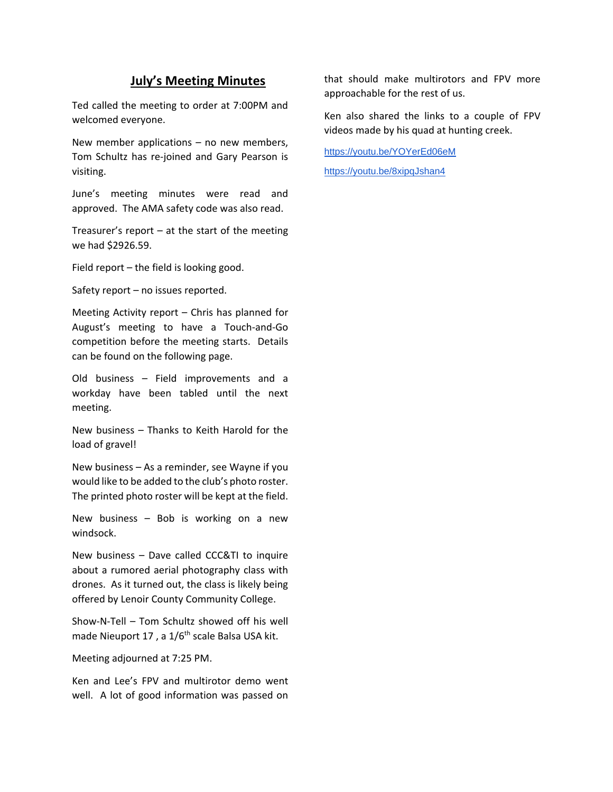## **July's Meeting Minutes**

Ted called the meeting to order at 7:00PM and welcomed everyone.

New member applications – no new members, Tom Schultz has re‐joined and Gary Pearson is visiting.

June's meeting minutes were read and approved. The AMA safety code was also read.

Treasurer's report  $-$  at the start of the meeting we had \$2926.59.

Field report – the field is looking good.

Safety report – no issues reported.

Meeting Activity report – Chris has planned for August's meeting to have a Touch‐and‐Go competition before the meeting starts. Details can be found on the following page.

Old business – Field improvements and a workday have been tabled until the next meeting.

New business – Thanks to Keith Harold for the load of gravel!

New business – As a reminder, see Wayne if you would like to be added to the club's photo roster. The printed photo roster will be kept at the field.

New business – Bob is working on a new windsock.

New business – Dave called CCC&TI to inquire about a rumored aerial photography class with drones. As it turned out, the class is likely being offered by Lenoir County Community College.

Show‐N‐Tell – Tom Schultz showed off his well made Nieuport 17, a 1/6<sup>th</sup> scale Balsa USA kit.

Meeting adjourned at 7:25 PM.

Ken and Lee's FPV and multirotor demo went well. A lot of good information was passed on that should make multirotors and FPV more approachable for the rest of us.

Ken also shared the links to a couple of FPV videos made by his quad at hunting creek.

https://youtu.be/YOYerEd06eM

https://youtu.be/8xipqJshan4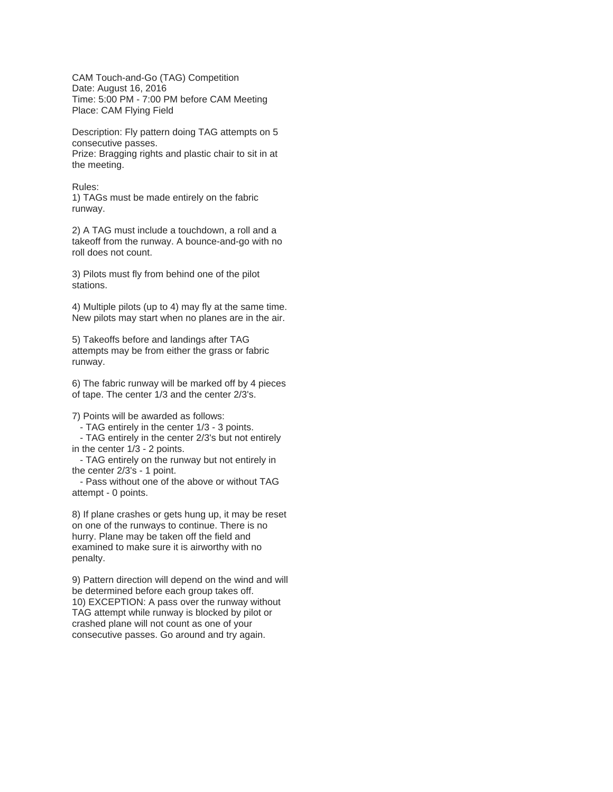CAM Touch-and-Go (TAG) Competition Date: August 16, 2016 Time: 5:00 PM - 7:00 PM before CAM Meeting Place: CAM Flying Field

Description: Fly pattern doing TAG attempts on 5 consecutive passes.

Prize: Bragging rights and plastic chair to sit in at the meeting.

#### Rules:

1) TAGs must be made entirely on the fabric runway.

2) A TAG must include a touchdown, a roll and a takeoff from the runway. A bounce-and-go with no roll does not count.

3) Pilots must fly from behind one of the pilot stations.

4) Multiple pilots (up to 4) may fly at the same time. New pilots may start when no planes are in the air.

5) Takeoffs before and landings after TAG attempts may be from either the grass or fabric runway.

6) The fabric runway will be marked off by 4 pieces of tape. The center 1/3 and the center 2/3's.

7) Points will be awarded as follows:

- TAG entirely in the center 1/3 - 3 points.

 - TAG entirely in the center 2/3's but not entirely in the center 1/3 - 2 points.

 - TAG entirely on the runway but not entirely in the center 2/3's - 1 point.

 - Pass without one of the above or without TAG attempt - 0 points.

8) If plane crashes or gets hung up, it may be reset on one of the runways to continue. There is no hurry. Plane may be taken off the field and examined to make sure it is airworthy with no penalty.

9) Pattern direction will depend on the wind and will be determined before each group takes off. 10) EXCEPTION: A pass over the runway without TAG attempt while runway is blocked by pilot or crashed plane will not count as one of your consecutive passes. Go around and try again.